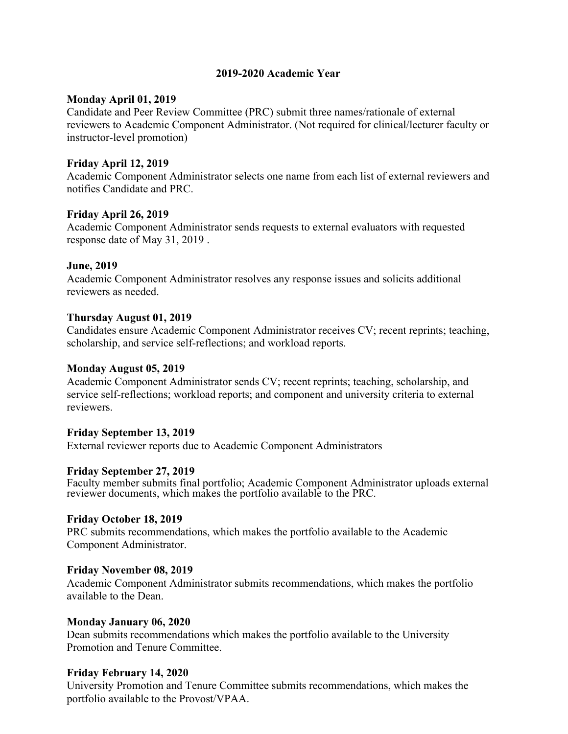# **2019-2020 Academic Year**

#### **Monday April 01, 2019**

Candidate and Peer Review Committee (PRC) submit three names/rationale of external reviewers to Academic Component Administrator. (Not required for clinical/lecturer faculty or instructor-level promotion)

# **Friday April 12, 2019**

Academic Component Administrator selects one name from each list of external reviewers and notifies Candidate and PRC.

# **Friday April 26, 2019**

Academic Component Administrator sends requests to external evaluators with requested response date of May 31, 2019 .

# **June, 2019**

Academic Component Administrator resolves any response issues and solicits additional reviewers as needed.

# **Thursday August 01, 2019**

Candidates ensure Academic Component Administrator receives CV; recent reprints; teaching, scholarship, and service self-reflections; and workload reports.

#### **Monday August 05, 2019**

Academic Component Administrator sends CV; recent reprints; teaching, scholarship, and service self-reflections; workload reports; and component and university criteria to external reviewers.

# **Friday September 13, 2019**

External reviewer reports due to Academic Component Administrators

#### **Friday September 27, 2019**

Faculty member submits final portfolio; Academic Component Administrator uploads external reviewer documents, which makes the portfolio available to the PRC.

#### **Friday October 18, 2019**

PRC submits recommendations, which makes the portfolio available to the Academic Component Administrator.

#### **Friday November 08, 2019**

Academic Component Administrator submits recommendations, which makes the portfolio available to the Dean.

#### **Monday January 06, 2020**

Dean submits recommendations which makes the portfolio available to the University Promotion and Tenure Committee.

#### **Friday February 14, 2020**

University Promotion and Tenure Committee submits recommendations, which makes the portfolio available to the Provost/VPAA.